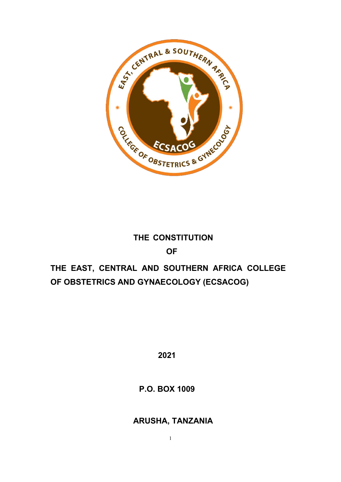

# **THE CONSTITUTION OF**

# **THE EAST, CENTRAL AND SOUTHERN AFRICA COLLEGE OF OBSTETRICS AND GYNAECOLOGY (ECSACOG)**

**2021**

**P.O. BOX 1009**

**ARUSHA, TANZANIA**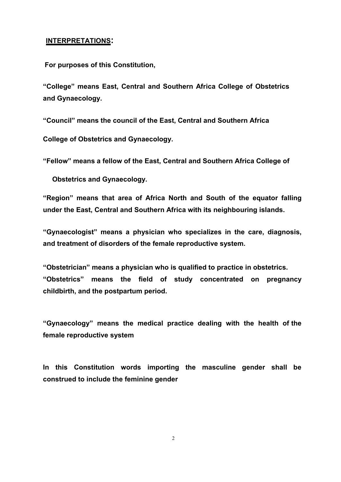#### **INTERPRETATIONS:**

**For purposes of this Constitution,**

**"College" means East, Central and Southern Africa College of Obstetrics and Gynaecology.**

**"Council" means the council of the East, Central and Southern Africa**

**College of Obstetrics and Gynaecology.**

**"Fellow" means a fellow of the East, Central and Southern Africa College of**

**Obstetrics and Gynaecology.**

**"Region" means that area of Africa North and South of the equator falling under the East, Central and Southern Africa with its neighbouring islands.**

**"Gynaecologist" means a physician who specializes in the care, diagnosis, and treatment of disorders of the female reproductive system.**

**"Obstetrician" means a physician who is qualified to practice in obstetrics. "Obstetrics" means the field of study concentrated on pregnancy childbirth, and the postpartum period.**

**"Gynaecology" means the medical practice dealing with the health of the female reproductive system**

**In this Constitution words importing the masculine gender shall be construed to include the feminine gender**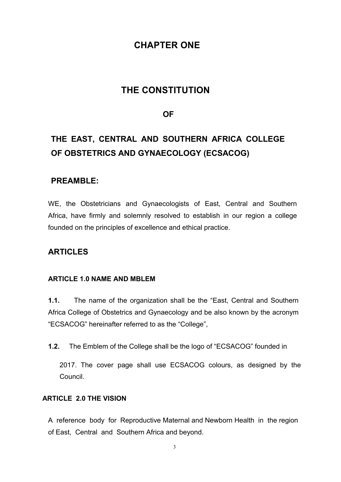## **CHAPTER ONE**

## **THE CONSTITUTION**

## **OF**

# **THE EAST, CENTRAL AND SOUTHERN AFRICA COLLEGE OF OBSTETRICS AND GYNAECOLOGY (ECSACOG)**

## **PREAMBLE:**

WE, the Obstetricians and Gynaecologists of East, Central and Southern Africa, have firmly and solemnly resolved to establish in our region a college founded on the principles of excellence and ethical practice.

## **ARTICLES**

### **ARTICLE 1.0 NAME AND MBLEM**

**1.1.** The name of the organization shall be the "East, Central and Southern Africa College of Obstetrics and Gynaecology and be also known by the acronym "ECSACOG" hereinafter referred to as the "College",

**1.2.** The Emblem of the College shall be the logo of "ECSACOG" founded in

2017. The cover page shall use ECSACOG colours, as designed by the Council.

## **ARTICLE 2.0 THE VISION**

A reference body for Reproductive Maternal and Newborn Health in the region of East, Central and Southern Africa and beyond.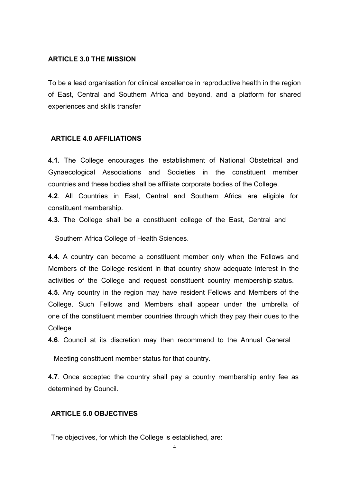#### **ARTICLE 3.0 THE MISSION**

To be a lead organisation for clinical excellence in reproductive health in the region of East, Central and Southern Africa and beyond, and a platform for shared experiences and skills transfer

#### **ARTICLE 4.0 AFFILIATIONS**

**4.1.** The College encourages the establishment of National Obstetrical and Gynaecological Associations and Societies in the constituent member countries and these bodies shall be affiliate corporate bodies of the College.

**4.2**. All Countries in East, Central and Southern Africa are eligible for constituent membership.

**4.3**. The College shall be a constituent college of the East, Central and

Southern Africa College of Health Sciences.

**4.4**. A country can become a constituent member only when the Fellows and Members of the College resident in that country show adequate interest in the activities of the College and request constituent country membership status. **4.5**. Any country in the region may have resident Fellows and Members of the College. Such Fellows and Members shall appear under the umbrella of one of the constituent member countries through which they pay their dues to the College

**4.6**. Council at its discretion may then recommend to the Annual General

Meeting constituent member status for that country.

**4.7**. Once accepted the country shall pay a country membership entry fee as determined by Council.

#### **ARTICLE 5.0 OBJECTIVES**

The objectives, for which the College is established, are: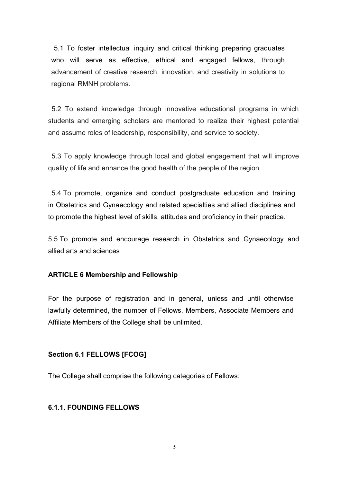5.1 To foster intellectual inquiry and critical thinking preparing graduates who will serve as effective, ethical and engaged fellows, through advancement of creative research, innovation, and creativity in solutions to regional RMNH problems.

5.2 To extend knowledge through innovative educational programs in which students and emerging scholars are mentored to realize their highest potential and assume roles of leadership, responsibility, and service to society.

5.3 To apply knowledge through local and global engagement that will improve quality of life and enhance the good health of the people of the region

5.4 To promote, organize and conduct postgraduate education and training in Obstetrics and Gynaecology and related specialties and allied disciplines and to promote the highest level of skills, attitudes and proficiency in their practice.

5.5 To promote and encourage research in Obstetrics and Gynaecology and allied arts and sciences

#### **ARTICLE 6 Membership and Fellowship**

For the purpose of registration and in general, unless and until otherwise lawfully determined, the number of Fellows, Members, Associate Members and Affiliate Members of the College shall be unlimited.

### **Section 6.1 FELLOWS [FCOG]**

The College shall comprise the following categories of Fellows:

#### **6.1.1. FOUNDING FELLOWS**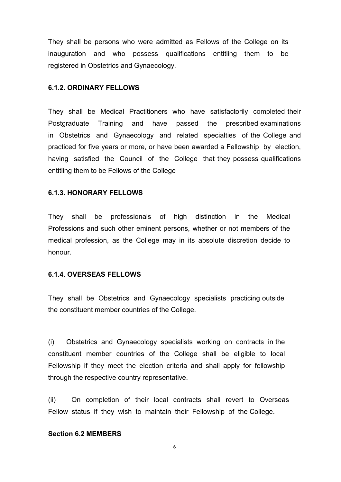They shall be persons who were admitted as Fellows of the College on its inauguration and who possess qualifications entitling them to be registered in Obstetrics and Gynaecology.

#### **6.1.2. ORDINARY FELLOWS**

They shall be Medical Practitioners who have satisfactorily completed their Postgraduate Training and have passed the prescribed examinations in Obstetrics and Gynaecology and related specialties of the College and practiced for five years or more, or have been awarded a Fellowship by election, having satisfied the Council of the College that they possess qualifications entitling them to be Fellows of the College

#### **6.1.3. HONORARY FELLOWS**

They shall be professionals of high distinction in the Medical Professions and such other eminent persons, whether or not members of the medical profession, as the College may in its absolute discretion decide to honour.

#### **6.1.4. OVERSEAS FELLOWS**

They shall be Obstetrics and Gynaecology specialists practicing outside the constituent member countries of the College.

(i) Obstetrics and Gynaecology specialists working on contracts in the constituent member countries of the College shall be eligible to local Fellowship if they meet the election criteria and shall apply for fellowship through the respective country representative.

(ii) On completion of their local contracts shall revert to Overseas Fellow status if they wish to maintain their Fellowship of the College.

#### **Section 6.2 MEMBERS**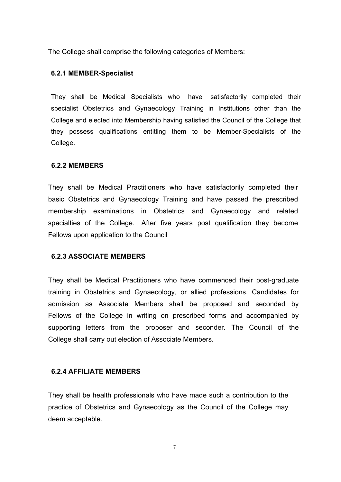The College shall comprise the following categories of Members:

#### **6.2.1 MEMBER-Specialist**

They shall be Medical Specialists who have satisfactorily completed their specialist Obstetrics and Gynaecology Training in Institutions other than the College and elected into Membership having satisfied the Council of the College that they possess qualifications entitling them to be Member-Specialists of the College.

#### **6.2.2 MEMBERS**

They shall be Medical Practitioners who have satisfactorily completed their basic Obstetrics and Gynaecology Training and have passed the prescribed membership examinations in Obstetrics and Gynaecology and related specialties of the College. After five years post qualification they become Fellows upon application to the Council

#### **6.2.3 ASSOCIATE MEMBERS**

They shall be Medical Practitioners who have commenced their post-graduate training in Obstetrics and Gynaecology, or allied professions. Candidates for admission as Associate Members shall be proposed and seconded by Fellows of the College in writing on prescribed forms and accompanied by supporting letters from the proposer and seconder. The Council of the College shall carry out election of Associate Members.

#### **6.2.4 AFFILIATE MEMBERS**

They shall be health professionals who have made such a contribution to the practice of Obstetrics and Gynaecology as the Council of the College may deem acceptable.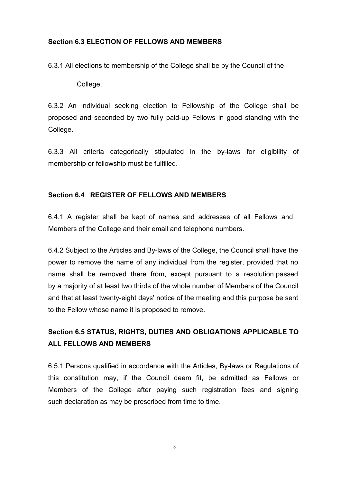## **Section 6.3 ELECTION OF FELLOWS AND MEMBERS**

6.3.1 All elections to membership of the College shall be by the Council of the

College.

6.3.2 An individual seeking election to Fellowship of the College shall be proposed and seconded by two fully paid-up Fellows in good standing with the College.

6.3.3 All criteria categorically stipulated in the by-laws for eligibility of membership or fellowship must be fulfilled.

## **Section 6.4 REGISTER OF FELLOWS AND MEMBERS**

6.4.1 A register shall be kept of names and addresses of all Fellows and Members of the College and their email and telephone numbers.

6.4.2 Subject to the Articles and By-laws of the College, the Council shall have the power to remove the name of any individual from the register, provided that no name shall be removed there from, except pursuant to a resolution passed by a majority of at least two thirds of the whole number of Members of the Council and that at least twenty-eight days' notice of the meeting and this purpose be sent to the Fellow whose name it is proposed to remove.

## **Section 6.5 STATUS, RIGHTS, DUTIES AND OBLIGATIONS APPLICABLE TO ALL FELLOWS AND MEMBERS**

6.5.1 Persons qualified in accordance with the Articles, By-laws or Regulations of this constitution may, if the Council deem fit, be admitted as Fellows or Members of the College after paying such registration fees and signing such declaration as may be prescribed from time to time.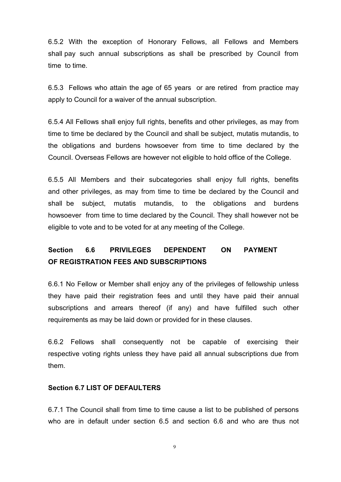6.5.2 With the exception of Honorary Fellows, all Fellows and Members shall pay such annual subscriptions as shall be prescribed by Council from time to time.

6.5.3 Fellows who attain the age of 65 years or are retired from practice may apply to Council for a waiver of the annual subscription.

6.5.4 All Fellows shall enjoy full rights, benefits and other privileges, as may from time to time be declared by the Council and shall be subject, mutatis mutandis, to the obligations and burdens howsoever from time to time declared by the Council. Overseas Fellows are however not eligible to hold office of the College.

6.5.5 All Members and their subcategories shall enjoy full rights, benefits and other privileges, as may from time to time be declared by the Council and shall be subject, mutatis mutandis, to the obligations and burdens howsoever from time to time declared by the Council. They shall however not be eligible to vote and to be voted for atany meeting of the College.

## **Section 6.6 PRIVILEGES DEPENDENT ON PAYMENT OF REGISTRATION FEES AND SUBSCRIPTIONS**

6.6.1 No Fellow or Member shall enjoy any of the privileges of fellowship unless they have paid their registration fees and until they have paid their annual subscriptions and arrears thereof (if any) and have fulfilled such other requirements as may be laid down or provided for in these clauses.

6.6.2 Fellows shall consequently not be capable of exercising their respective voting rights unless they have paid all annual subscriptions due from them.

#### **Section 6.7 LIST OF DEFAULTERS**

6.7.1 The Council shall from time to time cause a list to be published of persons who are in default under section 6.5 and section 6.6 and who are thus not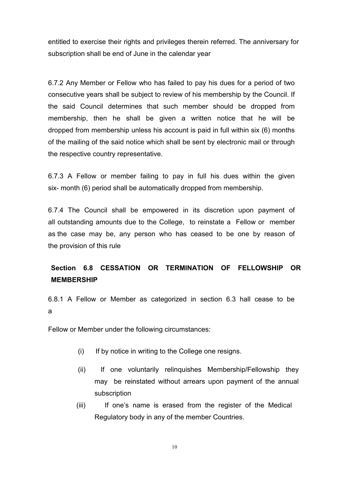entitled to exercise their rights and privileges therein referred. The anniversary for subscription shall be end of June in the calendar year

6.7.2 Any Member or Fellow who has failed to pay his dues for a period of two consecutive years shall be subject to review of his membership by the Council. If the said Council determines that such member should be dropped from membership, then he shall be given a written notice that he will be dropped from membership unless his account is paid in full within six (6) months of the mailing of the said notice which shall be sent by electronic mail or through the respective country representative.

6.7.3 A Fellow or member failing to pay in full his dues within the given six- month (6) period shall be automatically dropped from membership.

6.7.4 The Council shall be empowered in its discretion upon payment of all outstanding amounts due to the College, to reinstate a Fellow or member as the case may be, any person who has ceased to be one by reason of the provision of this rule

## **Section 6.8 CESSATION OR TERMINATION OF FELLOWSHIP OR MEMBERSHIP**

6.8.1 A Fellow or Member as categorized in section 6.3 hall cease to be a a component and a component of the set of the set of the set of the set of the set of the set of the set of

Fellow or Member under the following circumstances:

- (i) If by notice in writing to the College one resigns.
- (ii) If one voluntarily relinquishes Membership/Fellowship they may be reinstated without arrears upon payment of the annual subscription
- (iii) If one's name is erased from the register of the Medical Regulatory body in any of the member Countries.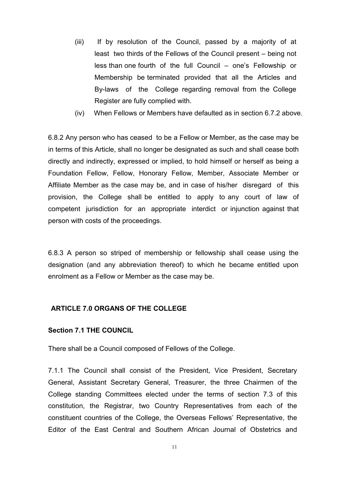- (iii) If by resolution of the Council, passed by a majority of at least two thirds of the Fellows of the Council present – being not less than one fourth of the full Council – one's Fellowship or Membership be terminated provided that all the Articles and By-laws of the College regarding removal from the College Register are fully complied with.
- (iv) When Fellows or Members have defaulted as in section 6.7.2 above.

6.8.2 Any person who has ceased to be a Fellow or Member, as the case may be in terms of this Article, shall no longer be designated as such and shall cease both directly and indirectly, expressed or implied, to hold himself or herself as being a Foundation Fellow, Fellow, Honorary Fellow, Member, Associate Member or Affiliate Member as the case may be, and in case of his/her disregard of this provision, the College shall be entitled to apply to any court of law of competent jurisdiction for an appropriate interdict or injunction against that person with costs of the proceedings.

6.8.3 A person so striped of membership or fellowship shall cease using the designation (and any abbreviation thereof) to which he became entitled upon enrolment as a Fellow or Member as the case may be.

#### **ARTICLE 7.0 ORGANS OF THE COLLEGE**

#### **Section 7.1 THE COUNCIL**

There shall be a Council composed of Fellows of the College.

7.1.1 The Council shall consist of the President, Vice President, Secretary General, Assistant Secretary General, Treasurer, the three Chairmen of the College standing Committees elected under the terms of section 7.3 of this constitution, the Registrar, two Country Representatives from each of the constituent countries of the College, the Overseas Fellows' Representative, the Editor of the East Central and Southern African Journal of Obstetrics and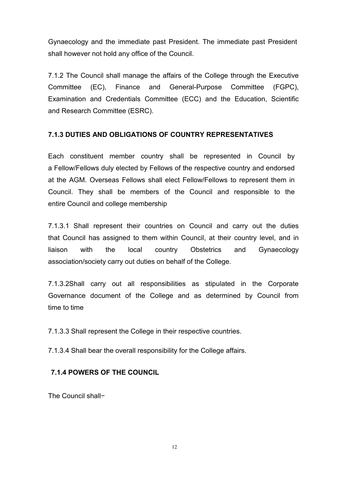Gynaecology and the immediate past President. The immediate past President shall however not hold any office of the Council.

7.1.2 The Council shall manage the affairs of the College through the Executive Committee (EC), Finance and General-Purpose Committee (FGPC), Examination and Credentials Committee (ECC) and the Education, Scientific and Research Committee (ESRC).

## **7.1.3 DUTIES AND OBLIGATIONS OF COUNTRY REPRESENTATIVES**

Each constituent member country shall be represented in Council by a Fellow/Fellows duly elected by Fellows of the respective country and endorsed at the AGM. Overseas Fellows shall elect Fellow/Fellows to represent them in Council. They shall be members of the Council and responsible to the entire Council and college membership

7.1.3.1 Shall represent their countries on Council and carry out the duties that Council has assigned to them within Council, at their country level, and in liaison with the local country Obstetrics and Gynaecology association/society carry out duties on behalf of the College.

7.1.3.2Shall carry out all responsibilities as stipulated in the Corporate Governance document of the College and as determined by Council from time to time

7.1.3.3 Shall represent the College in their respective countries.

7.1.3.4 Shall bear the overall responsibility for the College affairs.

### **7.1.4 POWERS OF THE COUNCIL**

The Council shall−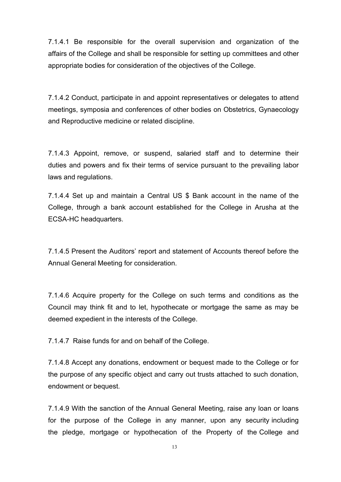7.1.4.1 Be responsible for the overall supervision and organization of the affairs of the College and shall be responsible for setting up committees and other appropriate bodies for consideration of the objectives of the College.

7.1.4.2 Conduct, participate in and appoint representatives or delegates to attend meetings, symposia and conferences of other bodies on Obstetrics, Gynaecology and Reproductive medicine or related discipline.

7.1.4.3 Appoint, remove, or suspend, salaried staff and to determine their duties and powers and fix their terms of service pursuant to the prevailing labor laws and regulations.

7.1.4.4 Set up and maintain a Central US \$ Bank account in the name of the College, through a bank account established for the College in Arusha at the ECSA-HC headquarters.

7.1.4.5 Present the Auditors' report and statement of Accounts thereof before the Annual General Meeting for consideration.

7.1.4.6 Acquire property for the College on such terms and conditions as the Council may think fit and to let, hypothecate or mortgage the same as may be deemed expedient in the interests of the College.

7.1.4.7 Raise funds for and on behalf of the College.

7.1.4.8 Accept any donations, endowment or bequest made to the College or for the purpose of any specific object and carry out trusts attached to such donation, endowment or bequest.

7.1.4.9 With the sanction of the Annual General Meeting, raise any loan or loans for the purpose of the College in any manner, upon any security including the pledge, mortgage or hypothecation of the Property of the College and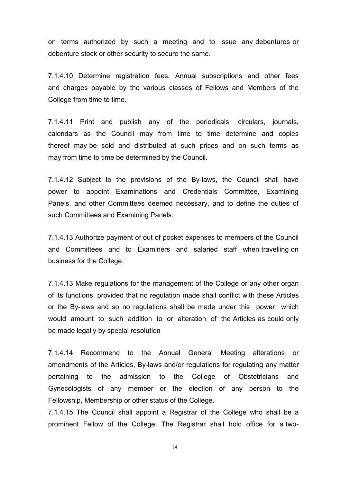on terms authorized by such a meeting and to issue any debentures or debenture stock or other security to secure the same.

7.1.4.10 Determine registration fees, Annual subscriptions and other fees and charges payable by the various classes of Fellows and Members of the College from time to time.

7.1.4.11 Print and publish any of the periodicals, circulars, journals, calendars as the Council may from time to time determine and copies thereof may be sold and distributed at such prices and on such terms as may from time to time be determined by the Council.

7.1.4.12 Subject to the provisions of the By-laws, the Council shall have power to appoint Examinations and Credentials Committee, Examining Panels, and other Committees deemed necessary, and to define the duties of such Committees and Examining Panels.

7.1.4.13 Authorize payment of out of pocket expenses to members of the Council and Committees and to Examiners and salaried staff when travelling on business for the College.

7.1.4.13 Make regulations for the management of the College or any other organ of its functions, provided that no regulation made shall conflict with these Articles or the By-laws and so no regulations shall be made under this power which would amount to such addition to or alteration of the Articles as could only be made legally by special resolution

7.1.4.14 Recommend to the Annual General Meeting alterations or amendments of the Articles, By-laws and/or regulations for regulating any matter pertaining to the admission to the College of Obstetricians and Gynecologists of any member or the election of any person to the Fellowship, Membership or other status of the College.

7.1.4.15 The Council shall appoint a Registrar of the College who shall be a prominent Fellow of the College. The Registrar shall hold office for a two-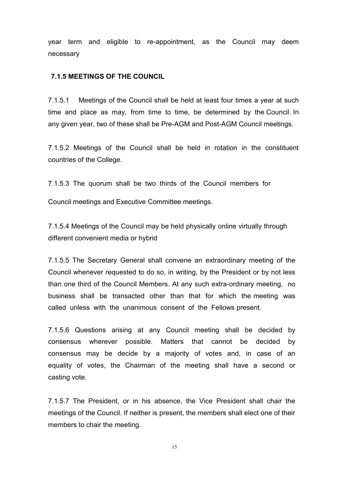year term and eligible to re-appointment, as the Council may deem necessary

#### **7.1.5 MEETINGS OF THE COUNCIL**

7.1.5.1 Meetings of the Council shall be held at least four times a year at such time and place as may, from time to time, be determined by the Council. In any given year, two of these shall be Pre-AGM and Post-AGM Council meetings.

7.1.5.2 Meetings of the Council shall be held in rotation in the constituent countries of the College.

7.1.5.3 The quorum shall be two thirds of the Council members for

Council meetings and Executive Committee meetings.

7.1.5.4 Meetings of the Council may be held physically online virtually through different convenient media or hybrid

7.1.5.5 The Secretary General shall convene an extraordinary meeting of the Council whenever requested to do so, in writing, by the President or by not less than one third of the Council Members. At any such extra-ordinary meeting, no business shall be transacted other than that for which the meeting was called unless with the unanimous consent of the Fellows present.

7.1.5.6 Questions arising at any Council meeting shall be decided by consensus wherever possible. Matters that cannot be decided by consensus may be decide by a majority of votes and, in case of an equality of votes, the Chairman of the meeting shall have a second or casting vote.

7.1.5.7 The President, or in his absence, the Vice President shall chair the meetings of the Council. If neither is present, the members shall elect one of their members to chair the meeting.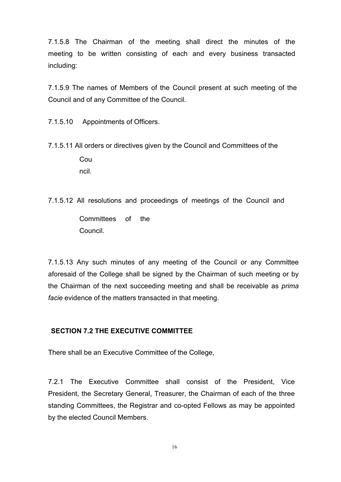7.1.5.8 The Chairman of the meeting shall direct the minutes of the meeting to be written consisting of each and every business transacted including:

7.1.5.9 The names of Members of the Council present at such meeting of the Council and of any Committee of the Council.

7.1.5.10 Appointments of Officers.

- 7.1.5.11 All orders or directives given by the Counciland Committees of the Cou ncil.
- 7.1.5.12 All resolutions and proceedings of meetings of the Council and Committees of the Council.

7.1.5.13 Any such minutes of any meeting of the Council or any Committee aforesaid of the College shall be signed by the Chairman of such meeting or by the Chairman of the next succeeding meeting and shall be receivable as *prima facie* evidence of the matters transacted in that meeting.

## **SECTION 7.2 THE EXECUTIVE COMMITTEE**

There shall be an Executive Committee of the College,

7.2.1 The Executive Committee shall consist of the President, Vice President, the Secretary General, Treasurer, the Chairman of each of the three standing Committees, the Registrar and co-opted Fellows as may be appointed by the elected Council Members.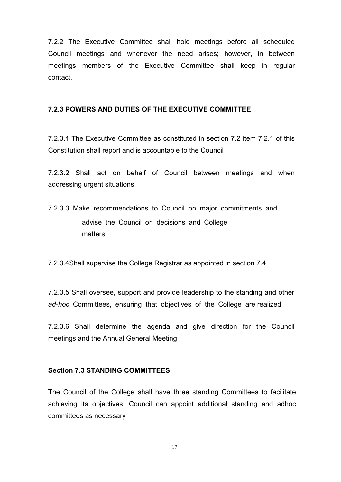7.2.2 The Executive Committee shall hold meetings before all scheduled Council meetings and whenever the need arises; however, in between meetings members of the Executive Committee shall keep in regular contact.

#### **7.2.3 POWERS AND DUTIES OF THE EXECUTIVE COMMITTEE**

7.2.3.1 The Executive Committee as constituted in section 7.2 item 7.2.1 of this Constitution shall report and is accountable to the Council

7.2.3.2 Shall act on behalf of Council between meetings and when addressing urgent situations

7.2.3.3 Make recommendations to Council on major commitments and advise the Council on decisions and College matters.

7.2.3.4Shall supervise the College Registrar as appointed in section 7.4

7.2.3.5 Shall oversee, support and provide leadership to the standing and other *ad-hoc* Committees, ensuring that objectives of the College are realized

7.2.3.6 Shall determine the agenda and give direction for the Council meetings and the Annual General Meeting

#### **Section 7.3 STANDING COMMITTEES**

The Council of the College shall have three standing Committees to facilitate achieving its objectives. Council can appoint additional standing and adhoc committees as necessary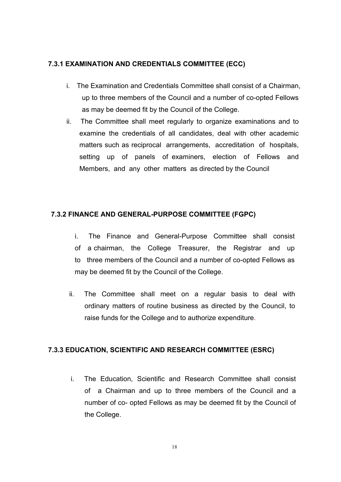## **7.3.1 EXAMINATION AND CREDENTIALS COMMITTEE (ECC)**

- i. The Examination and Credentials Committee shall consist of a Chairman, up to three members of the Council and a number of co-opted Fellows as may be deemed fit by the Council of the College.
- ii. The Committee shall meet regularly to organize examinations and to examine the credentials of all candidates, deal with other academic matters such as reciprocal arrangements, accreditation of hospitals, setting up of panels of examiners, election of Fellows and Members, and any other matters as directed by the Council

## **7.3.2 FINANCE AND GENERAL-PURPOSE COMMITTEE (FGPC)**

- i. The Finance and General-Purpose Committee shall consist of a chairman, the College Treasurer, the Registrar and up to three members of the Council and a number of co-opted Fellows as may be deemed fit by the Council of the College.
- ii. The Committee shall meet on a regular basis to deal with ordinary matters of routine business as directed by the Council, to raise funds for the College and to authorize expenditure.

### **7.3.3 EDUCATION, SCIENTIFIC AND RESEARCH COMMITTEE (ESRC)**

i. The Education, Scientific and Research Committee shall consist of a Chairman and up to three members of the Council and a number of co- opted Fellows as may be deemed fit by the Council of the College.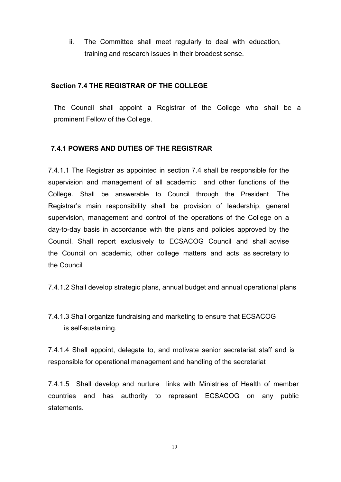ii. The Committee shall meet regularly to deal with education, training and research issues in their broadest sense.

### **Section 7.4 THE REGISTRAR OF THE COLLEGE**

The Council shall appoint a Registrar of the College who shall be a prominent Fellow of the College.

## **7.4.1 POWERS AND DUTIES OF THE REGISTRAR**

7.4.1.1 The Registrar as appointed in section 7.4 shall be responsible for the supervision and management of all academic and other functions of the College. Shall be answerable to Council through the President. The Registrar's main responsibility shall be provision of leadership, general supervision, management and control of the operations of the College on a day-to-day basis in accordance with the plans and policies approved by the Council. Shall report exclusively to ECSACOG Council and shall advise the Council on academic, other college matters and acts as secretary to the Council

7.4.1.2 Shall develop strategic plans, annual budget and annual operational plans

7.4.1.3 Shall organize fundraising and marketing to ensure that ECSACOG is self-sustaining.

7.4.1.4 Shall appoint, delegate to, and motivate senior secretariat staff and is responsible for operational management and handling of the secretariat

7.4.1.5 Shall develop and nurture links with Ministries of Health of member countries and has authority to represent ECSACOG on any public statements.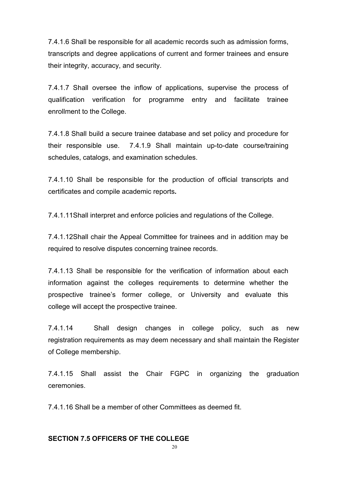7.4.1.6 Shall be responsible for all academic records such as admission forms, transcripts and degree applications of current and former trainees and ensure their integrity, accuracy, and security.

7.4.1.7 Shall oversee the inflow of applications, supervise the process of qualification verification for programme entry and facilitate trainee enrollment to the College.

7.4.1.8 Shall build a secure trainee database and set policy and procedure for their responsible use. 7.4.1.9 Shall maintain up-to-date course/training schedules, catalogs, and examination schedules.

7.4.1.10 Shall be responsible for the production of official transcripts and certificates and compile academic reports**.**

7.4.1.11Shall interpret and enforce policies and regulations of the College.

7.4.1.12Shall chair the Appeal Committee for trainees and in addition may be required to resolve disputes concerning trainee records.

7.4.1.13 Shall be responsible for the verification of information about each information against the colleges requirements to determine whether the prospective trainee's former college, or University and evaluate this college will accept the prospective trainee.

7.4.1.14 Shall design changes in college policy, such as new registration requirements as may deem necessary and shall maintain the Register of College membership.

7.4.1.15 Shall assist the Chair FGPC in organizing the graduation ceremonies.

7.4.1.16 Shall be a member of other Committees as deemed fit.

#### **SECTION 7.5 OFFICERS OF THE COLLEGE**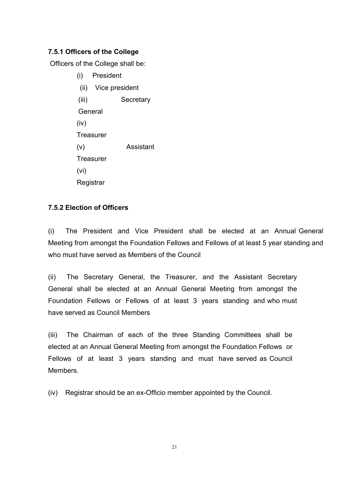## **7.5.1 Officers of the College**

Officers of the College shall be:

(i) President (ii) Vice president (iii) Secretary General (iv) **Treasurer** (v) Assistant **Treasurer** (vi) **Registrar** 

## **7.5.2 Election of Officers**

(i) The President and Vice President shall be elected at an Annual General Meeting from amongst the Foundation Fellows and Fellows of at least 5 year standing and who must have served as Members of the Council

(ii) The Secretary General, the Treasurer, and the Assistant Secretary General shall be elected at an Annual General Meeting from amongst the Foundation Fellows or Fellows of at least 3 years standing and who must have served as Council Members

(iii) The Chairman of each of the three Standing Committees shall be elected at an Annual General Meeting from amongst the Foundation Fellows or Fellows of at least 3 years standing and must have served as Council Members.

(iv) Registrar should be an ex-Officio member appointed by the Council.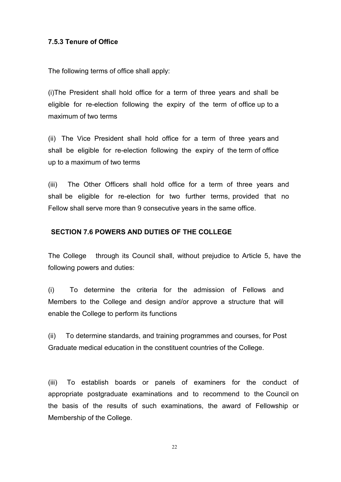## **7.5.3 Tenure of Office**

The following terms of office shall apply:

(i)The President shall hold office for a term of three years and shall be eligible for re-election following the expiry of the term of office up to a maximum of two terms

(ii) The Vice President shall hold office for a term of three years and shall be eligible for re-election following the expiry of the term of office up to a maximum of two terms

(iii) The Other Officers shall hold office for a term of three years and shall be eligible for re-election for two further terms, provided that no Fellow shall serve more than 9 consecutive years in the same office.

#### **SECTION 7.6 POWERS AND DUTIES OF THE COLLEGE**

The College through its Council shall, without prejudice to Article 5, have the following powers and duties:

(i) To determine the criteria for the admission of Fellows and Members to the College and design and/or approve a structure that will enable the College to perform its functions

(ii) To determine standards, and training programmes and courses, for Post Graduate medical education in the constituent countries of the College.

(iii) To establish boards or panels of examiners for the conduct of appropriate postgraduate examinations and to recommend to the Council on the basis of the results of such examinations, the award of Fellowship or Membership of the College.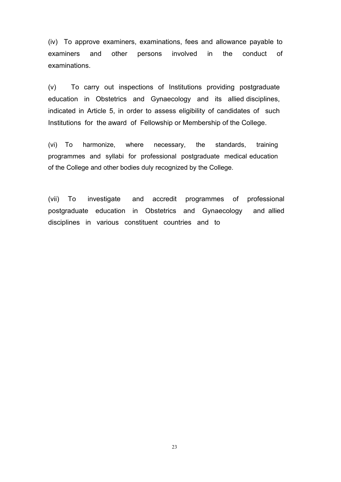(iv) To approve examiners, examinations, fees and allowance payable to examiners and other persons involved in the conduct of examinations.

(v) To carry out inspections of Institutions providing postgraduate education in Obstetrics and Gynaecology and its allied disciplines, indicated in Article 5, in order to assess eligibility of candidates of such Institutions for the award of Fellowship or Membership of the College.

(vi) To harmonize, where necessary, the standards, training programmes and syllabi for professional postgraduate medical education of the College and other bodies duly recognized by the College.

(vii) To investigate and accredit programmes of professional postgraduate education in Obstetrics and Gynaecology and allied disciplines in various constituent countries and to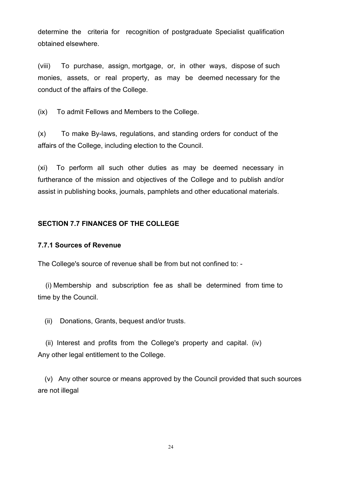determine the criteria for recognition of postgraduate Specialist qualification obtained elsewhere.

(viii) To purchase, assign, mortgage, or, in other ways, dispose of such monies, assets, or real property, as may be deemed necessary for the conduct of the affairs of the College.

(ix) To admit Fellows and Members to the College.

(x) To make By-laws, regulations, and standing orders for conduct of the affairs of the College, including election to the Council.

(xi) To perform all such other duties as may be deemed necessary in furtherance of the mission and objectives of the College and to publish and/or assist in publishing books, journals, pamphlets and other educational materials.

## **SECTION 7.7 FINANCES OF THE COLLEGE**

#### **7.7.1 Sources of Revenue**

The College's source of revenue shall be from but not confined to: -

(i) Membership and subscription fee as shall be determined from time to time by the Council.

(ii) Donations, Grants, bequest and/or trusts.

(ii) Interest and profits from the College's property and capital. (iv) Any other legal entitlement to the College.

 $(v)$  Any other source or means approved by the Council provided that such sources are not illegal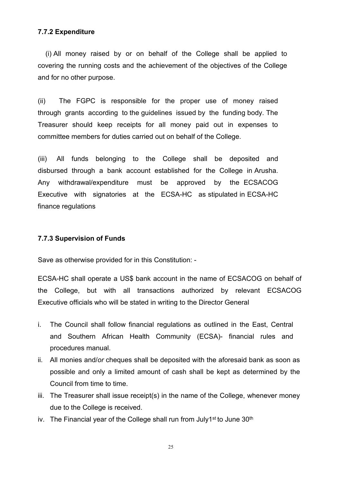#### **7.7.2 Expenditure**

(i) All money raised by or on behalf of the College shall be applied to covering the running costs and the achievement of the objectives of the College and for no other purpose.

(ii) The FGPC is responsible for the proper use of money raised through grants according to the guidelines issued by the funding body. The Treasurer should keep receipts for all money paid out in expenses to committee members for duties carried out on behalf of the College.

(iii) All funds belonging to the College shall be deposited and disbursed through a bank account established for the College in Arusha. Any withdrawal/expenditure must be approved by the ECSACOG Executive with signatories at the ECSA-HC as stipulated in ECSA-HC finance regulations

#### **7.7.3 Supervision of Funds**

Save as otherwise provided for in this Constitution: -

ECSA-HC shall operate a US\$ bank account in the name of ECSACOG on behalf of the College, but with all transactions authorized by relevant ECSACOG Executive officials who will be stated in writing to the Director General

- i. The Council shall follow financial regulations as outlined in the East, Central and Southern African Health Community (ECSA)- financial rules and procedures manual.
- ii. All monies and/*or*cheques shall be deposited with the aforesaid bank as soon as possible and only a limited amount of cash shall be kept as determined by the Council from time to time.
- iii. The Treasurer shall issue receipt(s) in the name of the College, whenever money due to the College is received.
- iv. The Financial year of the College shall run from July1<sup>st</sup> to June 30<sup>th</sup>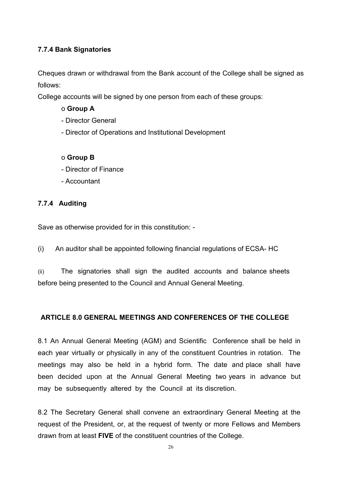## **7.7.4 Bank Signatories**

Cheques drawn or withdrawal from the Bank account of the College shall be signed as follows:

College accounts will be signed by one person from each of these groups:

## o **Group A**

- Director General
- Director of Operations and Institutional Development

## o **Group B**

- Director of Finance
- Accountant

## **7.7.4 Auditing**

Save as otherwise provided for in this constitution: -

(i) An auditor shall be appointed following financial regulations of ECSA- HC

(ii) The signatories shall sign the audited accounts and balance sheets before being presented to the Council and Annual General Meeting.

## **ARTICLE 8.0 GENERAL MEETINGS AND CONFERENCES OF THE COLLEGE**

8.1 An Annual General Meeting (AGM) and Scientific Conference shall be held in each year virtually or physically in any of the constituent Countries in rotation. The meetings may also be held in a hybrid form. The date and place shall have been decided upon at the Annual General Meeting two years in advance but may be subsequently altered by the Council at its discretion.

8.2 The Secretary General shall convene an extraordinary General Meeting at the request of the President, or, at the request of twenty or more Fellows and Members drawn from at least **FIVE** of the constituent countries of the College.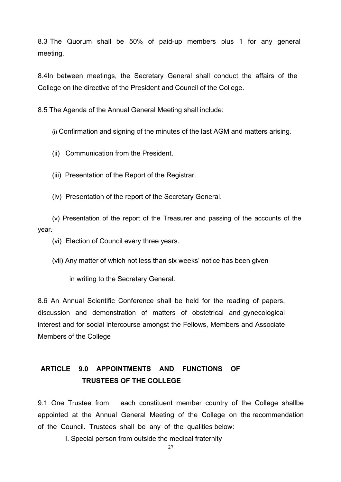8.3 The Quorum shall be 50% of paid-up members plus 1 for any general meeting.

8.4In between meetings, the Secretary General shall conduct the affairs of the College on the directive of the President and Council of the College.

8.5 The Agenda of the Annual General Meeting shall include:

(i) Confirmation and signing of the minutes of the last AGM and matters arising.

(ii) Communication from the President.

(iii) Presentation of the Report of the Registrar.

(iv) Presentation of the report of the Secretary General.

(v) Presentation of the report of the Treasurer and passing of the accounts of the year.

(vi) Election of Council every three years.

(vii) Any matter of which not less than six weeks' notice has been given

in writing to the Secretary General.

8.6 An Annual Scientific Conference shall be held for the reading of papers, discussion and demonstration of matters of obstetrical and gynecological interest and for social intercourse amongst the Fellows, Members and Associate Members of the College

## **ARTICLE 9.0 APPOINTMENTS AND FUNCTIONS OF TRUSTEES OF THE COLLEGE**

9.1 One Trustee from each constituent member country of the College shallbe appointed at the Annual General Meeting of the College on the recommendation of the Council. Trustees shall be any of the qualities below:

I. Special person from outside the medical fraternity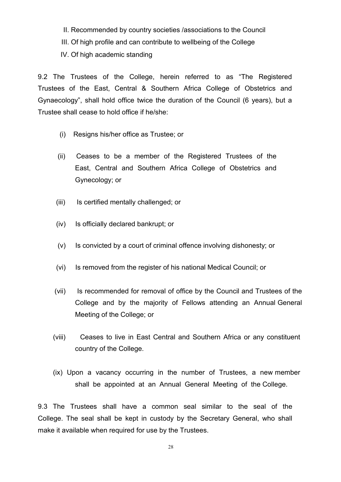- II. Recommended by country societies /associations to the Council
- III. Of high profile and can contribute to wellbeing of the College
- IV. Of high academic standing

9.2 The Trustees of the College, herein referred to as "The Registered Trustees of the East, Central & Southern Africa College of Obstetrics and Gynaecology", shall hold office twice the duration of the Council (6 years), but a Trustee shall cease to hold office if he/she:

- (i) Resigns his/her office as Trustee; or
- (ii) Ceases to be a member of the Registered Trustees of the East, Central and Southern Africa College of Obstetrics and Gynecology; or
- (iii) Is certified mentally challenged; or
- (iv) Is officially declared bankrupt; or
- (v) Is convicted by a court of criminal offence involving dishonesty; or
- (vi) Is removed from the register of his national Medical Council; or
- (vii) Is recommended for removal of office by the Council and Trustees of the College and by the majority of Fellows attending an Annual General Meeting of the College; or
- (viii) Ceases to live in East Central and Southern Africa orany constituent country of the College.
- (ix) Upon a vacancy occurring in the number of Trustees, a new member shall be appointed at an Annual General Meeting of the College.

9.3 The Trustees shall have a common seal similar to the seal of the College. The seal shall be kept in custody by the Secretary General, who shall make it available when required for use by the Trustees.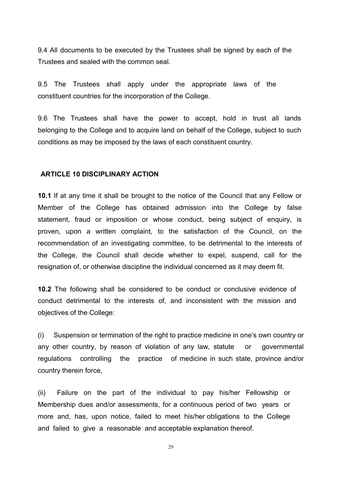9.4 All documents to be executed by the Trustees shall be signed by each of the Trustees and sealed with the common seal.

9.5 The Trustees shall apply under the appropriate laws of the constituent countries for the incorporation of the College.

9.6 The Trustees shall have the power to accept, hold in trust all lands belonging to the College and to acquire land on behalf of the College, subject to such conditions as may be imposed by the laws of each constituent country.

#### **ARTICLE 10 DISCIPLINARY ACTION**

**10.1** If at any time it shall be brought to the notice of the Council that any Fellow or Member of the College has obtained admission into the College by false statement, fraud or imposition or whose conduct, being subject of enquiry, is proven, upon a written complaint, to the satisfaction of the Council, on the recommendation of an investigating committee, to be detrimental to the interests of the College, the Council shall decide whether to expel, suspend, call for the resignation of, or otherwise discipline the individual concerned as it may deem fit.

**10.2** The following shall be considered to be conduct or conclusive evidence of conduct detrimental to the interests of, and inconsistent with the mission and objectives of the College:

(i) Suspension or termination of the right to practice medicine in one's own country or any other country, by reason of violation of any law, statute or governmental regulations controlling the practice of medicine in such state, province and/or country therein force,

(ii) Failure on the part of the individual to pay his/her Fellowship or Membership dues and/or assessments, for a continuous period of two vears or more and, has, upon notice, failed to meet his/her obligations to the College and failed to give a reasonable and acceptable explanation thereof.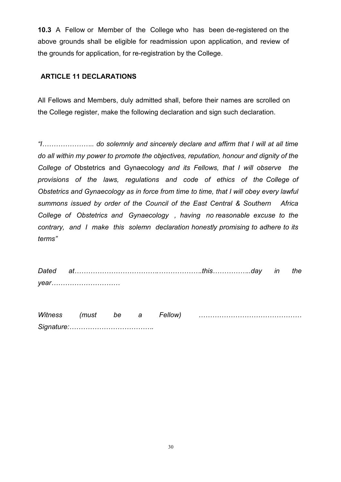**10.3** A Fellow or Member of the College who has been de-registered on the above grounds shall be eligible for readmission upon application, and review of the grounds for application, for re-registration by the College.

## **ARTICLE 11 DECLARATIONS**

All Fellows and Members, duly admitted shall, before their names are scrolled on the College register, make the following declaration and sign such declaration.

*"I………………….. do solemnly and sincerely declare and affirm that I will at all time do all within my power to promote the objectives, reputation, honour and dignity of the College of* Obstetrics and Gynaecology *and its Fellows, that I will observe the provisions of the laws, regulations and code of ethics of the College of Obstetrics and Gynaecology as in force from time to time, that I will obey every lawful summons issued by order of the Council of the East Central & Southern Africa College of Obstetrics and Gynaecology , having no reasonable excuse to the contrary, and I make this solemn declaration honestly promising to adhere to its terms"*

*Dated at……………………………….……………….this……………..day in the year…………………………*

| <b>Witness</b> | $m \cdot n$ | be |  | ellow |  |
|----------------|-------------|----|--|-------|--|
| Signature:     |             |    |  |       |  |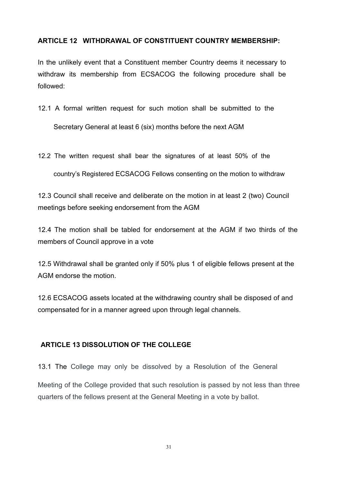### **ARTICLE 12 WITHDRAWAL OF CONSTITUENT COUNTRY MEMBERSHIP:**

In the unlikely event that a Constituent member Country deems it necessary to withdraw its membership from ECSACOG the following procedure shall be followed:

- 12.1 A formal written request for such motion shall be submitted to the Secretary General at least 6 (six) months before the next AGM
- 12.2 The written request shall bear the signatures of at least 50% of the

country's Registered ECSACOG Fellows consenting on the motion to withdraw

12.3 Council shall receive and deliberate on the motion in at least 2 (two) Council meetings before seeking endorsement from the AGM

12.4 The motion shall be tabled for endorsement at the AGM if two thirds of the members of Council approve in a vote

12.5 Withdrawal shall be granted only if 50% plus 1 of eligible fellows present at the AGM endorse the motion.

12.6 ECSACOG assets located at the withdrawing country shall be disposed of and compensated for in a manner agreed upon through legal channels.

### **ARTICLE 13 DISSOLUTION OF THE COLLEGE**

13.1 The College may only be dissolved by a Resolution of the General Meeting of the College provided that such resolution is passed by not less than three quarters of the fellows present at the General Meeting in a vote by ballot.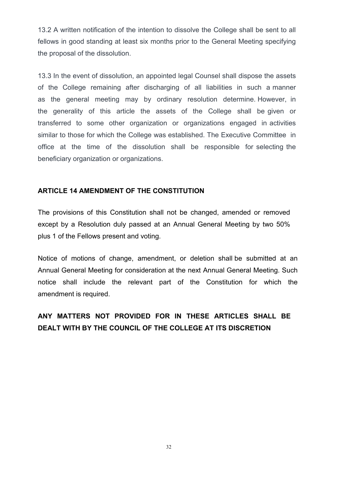13.2 A written notification of the intention to dissolve the College shall be sent to all fellows in good standing at least six months prior to the General Meeting specifying the proposal of the dissolution.<br>13.3 In the event of dissolution, an appointed legal Counsel shall dispose the assets

of the College remaining after discharging of all liabilities in such a manner as the general meeting may by ordinary resolution determine. However, in the generality of this article the assets of the College shall be given or transferred to some other organization or organizations engaged in activities similar to those for which the College was established. The Executive Committee in office at the time of the dissolution shall be responsible for selecting the beneficiary organization or organizations.

#### **ARTICLE 14 AMENDMENT OF THE CONSTITUTION**

The provisions of this Constitution shall not be changed, amended or removed except by a Resolution duly passed at an Annual General Meeting by two 50% plus 1 of the Fellows present and voting.

Notice of motions of change, amendment, or deletion shall be submitted at an Annual General Meeting for consideration at the next Annual General Meeting. Such notice shall include the relevant part of the Constitution for which the amendment is required.

## **ANY MATTERS NOT PROVIDED FOR IN THESE ARTICLES SHALL BE DEALT WITH BY THE COUNCIL OF THE COLLEGE AT ITS DISCRETION**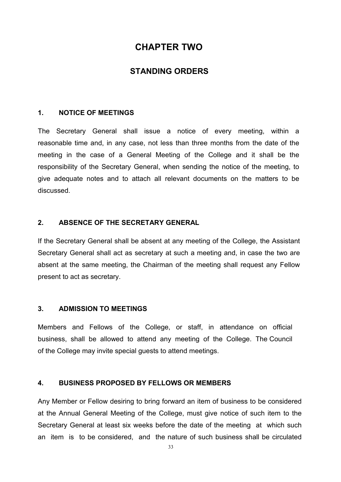## **CHAPTER TWO**

## **STANDING ORDERS**

#### **1. NOTICE OF MEETINGS**

The Secretary General shall issue a notice of every meeting, within a reasonable time and, in any case, not less than three months from the date of the meeting in the case of a General Meeting of the College and it shall be the responsibility of the Secretary General, when sending the notice of the meeting, to give adequate notes and to attach all relevant documents on the matters to be discussed.

## **2. ABSENCE OF THE SECRETARY GENERAL**

If the Secretary General shall be absent at any meeting of the College, the Assistant Secretary General shall act as secretary at such a meeting and, in case the two are absent at the same meeting, the Chairman of the meeting shall request any Fellow present to act as secretary.

#### **3. ADMISSION TO MEETINGS**

Members and Fellows of the College, or staff, in attendance on official business, shall be allowed to attend any meeting of the College. The Council of the College may invite special guests to attend meetings.

#### **4. BUSINESS PROPOSED BY FELLOWS OR MEMBERS**

Any Member or Fellow desiring to bring forward an item of business to be considered at the Annual General Meeting of the College, must give notice of such item to the Secretary General at least six weeks before the date of the meeting at which such an item is to be considered, and the nature of such business shall be circulated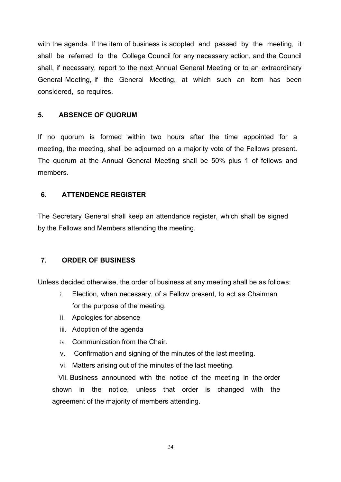with the agenda. If the item of business is adopted and passed by the meeting, it shall be referred to the College Council for any necessary action, and the Council shall, if necessary, report to the next Annual General Meeting or to an extraordinary General Meeting, if the General Meeting, at which such an item has been considered, so requires.

## **5. ABSENCE OF QUORUM**

If no quorum is formed within two hours after the time appointed for a meeting, the meeting, shall be adjourned on a majority vote of the Fellows present*.* The quorum at the Annual General Meeting shall be 50% plus 1 of fellows and members.

## **6. ATTENDENCE REGISTER**

The Secretary General shall keep an attendance register, which shall be signed by the Fellows and Members attending the meeting.

## **7. ORDER OF BUSINESS**

Unless decided otherwise, the order of business at any meeting shall be as follows:

- i. Election, when necessary, of a Fellow present, to act as Chairman for the purpose of the meeting.
- ii. Apologies for absence
- iii. Adoption of the agenda
- iv. Communication from the Chair.
- v. Confirmation and signing of the minutes of the last meeting.
- vi. Matters arising out of the minutes of the last meeting.

Vii. Business announced with the notice of the meeting in the order shown in the notice, unless that order is changed with the agreement of the majority of members attending.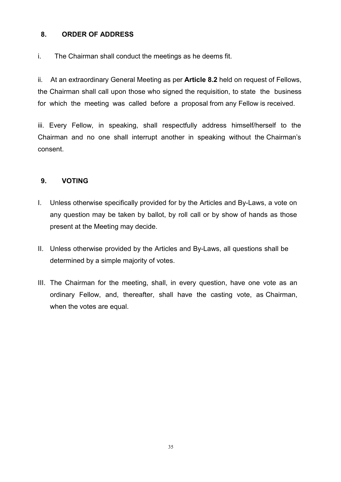## **8. ORDER OF ADDRESS**

i. The Chairman shall conduct the meetings as he deems fit.

ii. At an extraordinary General Meeting as per **Article 8.2** held on request of Fellows, the Chairman shall call upon those who signed the requisition, to state the business for which the meeting was called before a proposal from any Fellow is received.

iii. Every Fellow, in speaking, shall respectfully address himself/herself to the Chairman and no one shall interrupt another in speaking without the Chairman's consent.

## **9. VOTING**

- I. Unless otherwise specifically provided for by the Articles and By-Laws, a vote on any question may be taken by ballot, by roll call or by show of hands as those present at the Meeting may decide.
- II. Unless otherwise provided by the Articles and By-Laws, all questions shall be determined by a simple majority of votes.
- III. The Chairman for the meeting, shall, in every question, have one vote as an ordinary Fellow, and, thereafter, shall have the casting vote, as Chairman, when the votes are equal.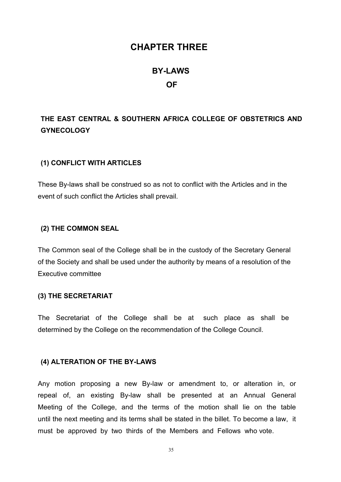## **CHAPTER THREE**

# **BY-LAWS OF**

## **THE EAST CENTRAL & SOUTHERN AFRICA COLLEGE OF OBSTETRICS AND GYNECOLOGY**

#### **(1) CONFLICT WITH ARTICLES**

These By-laws shall be construed so as not to conflict with the Articles and in the event of such conflict the Articles shall prevail.

#### **(2) THE COMMON SEAL**

The Common seal of the College shall be in the custody of the Secretary General of the Society and shall be used under the authority by means of a resolution of the Executive committee

#### **(3) THE SECRETARIAT**

The Secretariat of the College shall be at such place as shall be determined by the College on the recommendation of the College Council.

#### **(4) ALTERATION OF THE BY-LAWS**

Any motion proposing a new By-law or amendment to, or alteration in, or repeal of, an existing By-law shall be presented at an Annual General Meeting of the College, and the terms of the motion shall lie on the table until the next meeting and its terms shall be stated in the billet. To become a law, it must be approved by two thirds of the Members and Fellows who vote.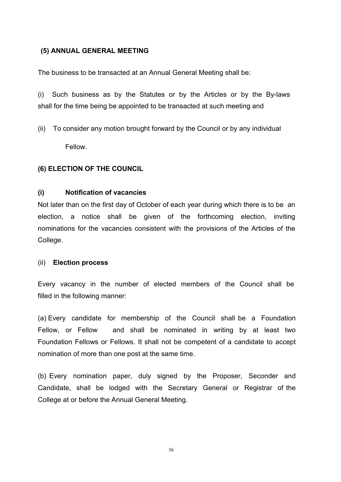## **(5) ANNUAL GENERAL MEETING**

The business to be transacted at an Annual General Meeting shall be:

(i) Such business as by the Statutes or by the Articles or by the By-laws shall for the time being be appointed to be transacted at such meeting and

(ii) To consider any motion brought forward by the Council or by any individual Fellow.

## **(6) ELECTION OF THE COUNCIL**

### **(i) Notification of vacancies**

Not later than on the first day of October of each year during which there is to be an election, a notice shall be given of the forthcoming election, inviting nominations for the vacancies consistent with the provisions of the Articles of the College.

#### (ii) **Election process**

Every vacancy in the number of elected members of the Council shall be filled in the following manner:

(a) Every candidate for membership of the Council shall be a Foundation Fellow, or Fellow and shall be nominated in writing by at least two Foundation Fellows or Fellows. It shall not be competent of a candidate to accept nomination of more than one post at the same time.

(b) Every nomination paper, duly signed by the Proposer, Seconder and Candidate, shall be lodged with the Secretary General or Registrar of the College at or before the Annual General Meeting.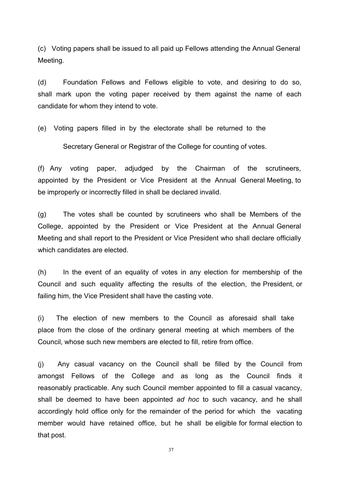(c) Voting papers shall be issued to all paid up Fellows attending the Annual General Meeting.

(d) Foundation Fellows and Fellows eligible to vote, and desiring to do so, shall mark upon the voting paper received by them against the name of each candidate for whom they intend to vote.

(e) Voting papers filled in by the electorate shall be returned to the

Secretary General or Registrar of the College for counting of votes.

(f) Any voting paper, adjudged by the Chairman of the scrutineers, appointed by the President or Vice President at the Annual General Meeting, to be improperly or incorrectly filled in shall be declared invalid.

(g) The votes shall be counted by scrutineers who shall be Members of the College, appointed by the President or Vice President at the Annual General Meeting and shall report to the President or Vice President who shall declare officially which candidates are elected.

 $(h)$  In the event of an equality of votes in any election for membership of the Council and such equality affecting the results of the election, the President, or failing him, the Vice President shall have the casting vote.

(i) The election of new members to the Council as aforesaid shall take place from the close of the ordinary general meeting at which members of the Council, whose such new members are elected to fill, retire from office.

(j) Any casual vacancy on the Council shall be filled by the Council from amongst Fellows of the College and as long as the Council finds it reasonably practicable. Any such Council member appointed to fill a casual vacancy, shall be deemed to have been appointed *ad hoc* to such vacancy, and he shall accordingly hold office only for the remainder of the period for which the vacating member would have retained office, but he shall be eligible for formal election to that post.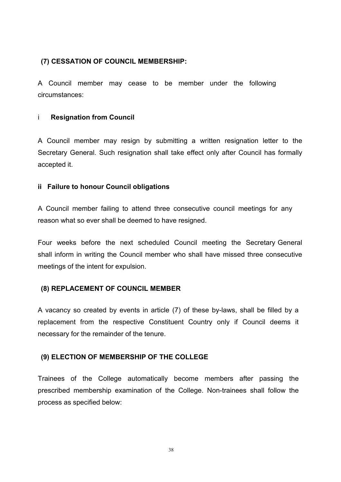## **(7) CESSATION OF COUNCIL MEMBERSHIP:**

A Council member may cease to be member under the following circumstances:

#### i **Resignation from Council**

A Council member may resign by submitting a written resignation letter to the Secretary General. Such resignation shall take effect only after Council has formally accepted it.

#### **ii Failure to honour Council obligations**

A Council member failing to attend three consecutive council meetings for any reason what so ever shall be deemed to have resigned.

Four weeks before the next scheduled Council meeting the Secretary General shall inform in writing the Council member who shall have missed three consecutive meetings of the intent for expulsion.

### **(8) REPLACEMENT OF COUNCIL MEMBER**

A vacancy so created by events in article (7) of these by-laws, shall be filled by a replacement from the respective Constituent Country only if Council deems it necessary for the remainder of the tenure.

### **(9) ELECTION OF MEMBERSHIP OF THE COLLEGE**

Trainees of the College automatically become members after passing the prescribed membership examination of the College. Non-trainees shall follow the process as specified below: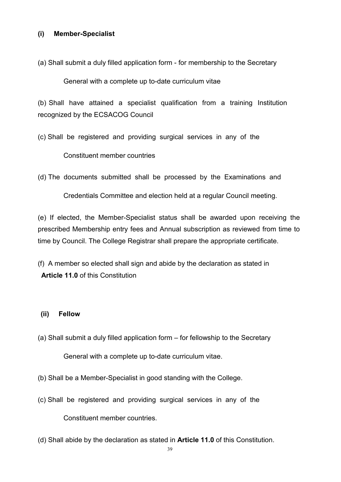## **(i) Member-Specialist**

(a) Shall submit a duly filled application form - for membership to the Secretary

General with a complete up to-date curriculum vitae

 $(b)$  Shall have attained a specialist qualification from a training Institution recognized by the ECSACOG Council

(c) Shall be registered and providing surgical services in any of the

Constituent member countries

(d) The documents submitted shall be processed by the Examinations and

Credentials Committee and election held at a regular Council meeting.

(e) If elected, the Member-Specialist status shall be awarded upon receiving the prescribed Membership entry fees and Annual subscription as reviewed from time to time by Council. The College Registrar shall prepare the appropriate certificate.

(f) A member so elected shall sign and abide by the declaration as stated in **Article 11.0** of this Constitution

### **(ii) Fellow**

- (a) Shall submit a duly filled application form for fellowship to the Secretary General with a complete up to-date curriculum vitae.
- (b) Shall be a Member-Specialist in good standing with the College.
- (c) Shall be registered and providing surgical services in any of the

Constituent member countries.

(d) Shall abide by the declaration as stated in **Article 11.0** of this Constitution.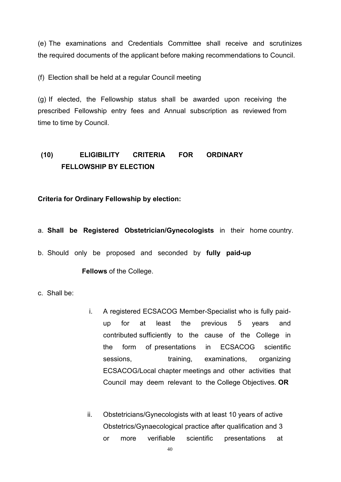(e) The examinations and Credentials Committee shall receive and scrutinizes the required documents of the applicant before making recommendations to Council.

(f) Election shall be held at a regular Council meeting

(g) If elected, the Fellowship status shall be awarded upon receiving the prescribed Fellowship entry fees and Annual subscription as reviewed from time to time by Council.

## **(10) ELIGIBILITY CRITERIA FOR ORDINARY FELLOWSHIP BY ELECTION**

### **Criteria for Ordinary Fellowship by election:**

#### a. **Shall be Registered Obstetrician/Gynecologists** in their home country.

b. Should only be proposed and seconded by **fully paid-up**

#### **Fellows** of the College.

c. Shall be:

- i. A registered ECSACOG Member-Specialist who is fully paidup for at least the previous 5 years and contributed sufficiently to the cause of the College in the form of presentations in ECSACOG scientific sessions, training, examinations, organizing ECSACOG/Local chapter meetings and other activities that Council may deem relevant to the College Objectives. **OR**
- ii. Obstetricians/Gynecologists with at least 10 years of active Obstetrics/Gynaecological practice after qualification and 3 or more verifiable scientific presentations at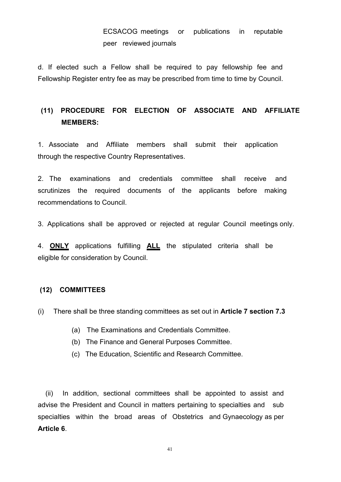d. If elected such a Fellow shall be required to pay fellowship fee and Fellowship Register entry fee as may be prescribed from time to time by Council.

## **(11) PROCEDURE FOR ELECTION OF ASSOCIATE AND AFFILIATE MEMBERS:**

1. Associate and Affiliate members shall submit their application through the respective Country Representatives.

2. The examinations and credentials committee shall receive and scrutinizes the required documents of the applicants before making recommendations to Council.

3. Applications shall be approved or rejected at regular Council meetings only.

4. **ONLY** applications fulfilling **ALL** the stipulated criteria shall be eligible for consideration by Council.

#### **(12) COMMITTEES**

(i) There shall be three standing committees as set out in **Article 7 section 7.3**

- (a) The Examinations and Credentials Committee.
- (b) The Finance and General Purposes Committee.
- (c) The Education, Scientific and Research Committee.

(ii) In addition, sectional committees shall be appointed to assist and advise the President and Council in matters pertaining to specialties and sub specialties within the broad areas of Obstetrics and Gynaecology as per **Article 6**.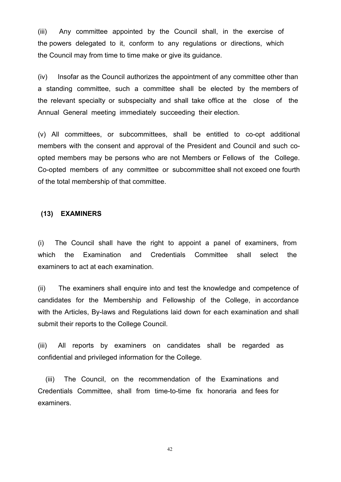(iii) Any committee appointed by the Council shall, in the exercise of the powers delegated to it, conform to any regulations or directions, which the Council may from time to time make or give its guidance.

 $(iv)$  Insofar as the Council authorizes the appointment of any committee other than a standing committee, such a committee shall be elected by the members of the relevant specialty or subspecialty and shall take office at the close of the Annual General meeting immediately succeeding their election.

 $(v)$  All committees, or subcommittees, shall be entitled to co-opt additional members with the consent and approval of the President and Council and such co-<br>opted members may be persons who are not Members or Fellows of the College. Co-opted members of any committee or subcommittee shall not exceed one fourth of the total membership of that committee.

#### **(13) EXAMINERS**

(i) The Council shall have the right to appoint a panel of examiners, from which the Examination and Credentials Committee shall select the examiners to act at each examination.

(ii) The examiners shall enquire into and test the knowledge and competence of candidates for the Membership and Fellowship of the College, in accordance with the Articles, By-laws and Regulations laid down for each examination and shall submit their reports to the College Council.

(iii) All reports by examiners on candidates shall be regarded as confidential and privileged information for the College.

(iii) The Council, on the recommendation of the Examinations and Credentials Committee, shall from time-to-time fix honoraria and fees for examiners.